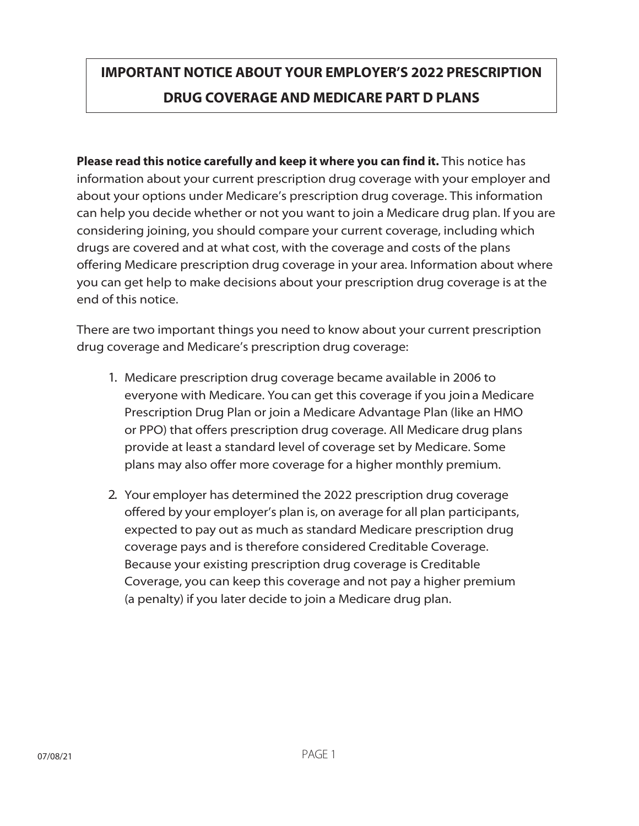## **IMPORTANT NOTICE ABOUT YOUR EMPLOYER'S 2022 PRESCRIPTION DRUG COVERAGE AND MEDICARE PART D PLANS**

Please read this notice carefully and keep it where you can find it. This notice has information about your current prescription drug coverage with your employer and about your options under Medicare's prescription drug coverage. This information can help you decide whether or not you want to join a Medicare drug plan. If you are considering joining, you should compare your current coverage, including which drugs are covered and at what cost, with the coverage and costs of the plans offering Medicare prescription drug coverage in your area. Information about where you can get help to make decisions about your prescription drug coverage is at the end of this notice.

There are two important things you need to know about your current prescription drug coverage and Medicare's prescription drug coverage:

- 1. Medicare prescription drug coverage became available in 2006 to everyone with Medicare. You can get this coverage if you joina Medicare Prescription Drug Plan or join a Medicare Advantage Plan (like an HMO or PPO) that offers prescription drug coverage. All Medicare drug plans provide at least a standard level of coverage set by Medicare. Some plans may also offer more coverage for a higher monthly premium.
- 2. Your employer has determined the 2022 prescription drug coverage offered by your employer's plan is, on average for all plan participants, expected to pay out as much as standard Medicare prescription drug coverage pays and is therefore considered Creditable Coverage. Because your existing prescription drug coverage is Creditable Coverage, you can keep this coverage and not pay a higher premium (a penalty) if you later decide to join a Medicare drug plan.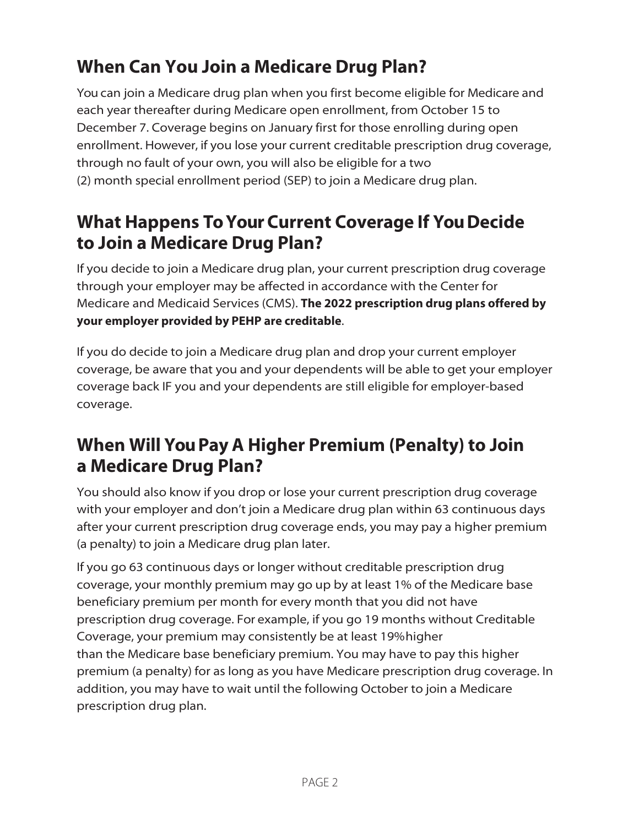# **When Can You Join a Medicare Drug Plan?**

You can join a Medicare drug plan when you first become eligible for Medicare and each year thereafter during Medicare open enrollment, from October 15 to December 7. Coverage begins on January first for those enrolling during open enrollment. However, if you lose your current creditable prescription drug coverage, through no fault of your own, you will also be eligible for a two (2) month special enrollment period (SEP) to join a Medicare drug plan.

#### **What Happens ToYourCurrent Coverage If YouDecide to Join a Medicare Drug Plan?**

If you decide to join a Medicare drug plan, your current prescription drug coverage through your employer may be affected in accordance with the Center for Medicare and Medicaid Services (CMS). **The 2022 prescription drug plans offered by your employer provided by PEHP are creditable**.

If you do decide to join a Medicare drug plan and drop your current employer coverage, be aware that you and your dependents will be able to get your employer coverage back IF you and your dependents are still eligible for employer-based coverage.

### **When Will YouPay A Higher Premium (Penalty) to Join a Medicare Drug Plan?**

You should also know if you drop or lose your current prescription drug coverage with your employer and don't join a Medicare drug plan within 63 continuous days after your current prescription drug coverage ends, you may pay a higher premium (a penalty) to join a Medicare drug plan later.

If you go 63 continuous days or longer without creditable prescription drug coverage, your monthly premium may go up by at least 1% of the Medicare base beneficiary premium per month for every month that you did not have prescription drug coverage. For example, if you go 19 months without Creditable Coverage, your premium may consistently be at least 19%higher than the Medicare base beneficiary premium. You may have to pay this higher premium (a penalty) for as long as you have Medicare prescription drug coverage. In addition, you may have to wait until the following October to join a Medicare prescription drug plan.